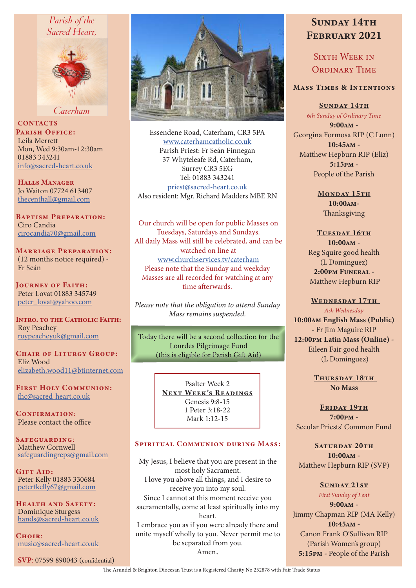## Parish of the Sacred Heart.



Caterham

**CONTACTS** PARISH OFFICE: Leila Merrett Mon, Wed 9:30am-12:30am 01883 343241 info@sacred-heart.co.uk

Halls Manager Jo Waiton 07724 613407 thecenthall@gmail.com

Baptism Preparation: Ciro Candia cirocandia70@gmail.com

Marriage Preparation: (12 months notice required) - Fr Seán

Journey of Faith: Peter Lovat 01883 345749 peter\_lovat@yahoo.com

INTRO. TO THE CATHOLIC FAITH: Roy Peachey roypeacheyuk@gmail.com

CHAIR OF LITURGY GROUP: Eliz Wood elizabeth.wood11@btinternet.com

First Holy Communion: fhc@sacred-heart.co.uk

CONFIRMATION: Please contact the office

SAFEGUARDING: Matthew Cornwell safeguardingreps@gmail.com

Gift Aid: Peter Kelly 01883 330684 peterfkelly67@gmail.com

Health and Safety: Dominique Sturgess hands@sacred-heart.co.uk

 $C$ HOIR $\cdot$ music@sacred-heart.co.uk

SVP: 07599 890043 (confidential)



Essendene Road, Caterham, CR3 5PA www.caterhamcatholic.co.uk Parish Priest: Fr Seán Finnegan 37 Whyteleafe Rd, Caterham, Surrey CR3 5EG Tel: 01883 343241 priest@sacred-heart.co.uk Also resident: Mgr. Richard Madders MBE RN

Our church will be open for public Masses on Tuesdays, Saturdays and Sundays. All daily Mass will still be celebrated, and can be watched on line at www.churchservices.tv/caterham Please note that the Sunday and weekday Masses are all recorded for watching at any time afterwards.

*Please note that the obligation to attend Sunday Mass remains suspended.*

Today there will be a second collection for the Lourdes Pilgrimage Fund (this is eligible for Parish Gift Aid)

> Psalter Week 2 NEXT WEEK'S READINGS Genesis 9:8-15 1 Peter 3:18-22 Mark 1:12-15

#### Spiritual Communion during Mass:

My Jesus, I believe that you are present in the most holy Sacrament. I love you above all things, and I desire to receive you into my soul. Since I cannot at this moment receive you sacramentally, come at least spiritually into my heart. I embrace you as if you were already there and unite myself wholly to you. Never permit me to be separated from you. Amen.

# SUNDAY 14TH February 2021

SIXTH WEEK IN ORDINARY TIME

### Mass Times & Intentions

SUNDAY 14TH *6th Sunday of Ordinary Time* 9:00am - Georgina Formosa RIP (C Lunn) 10:45am - Matthew Hepburn RIP (Eliz) 5:15pm - People of the Parish

> MONDAY 15TH 10:00am-Thanksgiving

## TUESDAY 16TH

10:00am - Reg Squire good health (L Dominguez) 2:00pm Funeral - Matthew Hepburn RIP

#### WEDNESDAY 17TH

*Ash Wednesday*

10:00am English Mass (Public) - Fr Jim Maguire RIP 12:00pm Latin Mass (Online) - Eileen Fair good health (L Dominguez)

> THURSDAY 18TH No Mass

FRIDAY 19TH 7:00pm - Secular Priests' Common Fund

SATURDAY 20TH 10:00am - Matthew Hepburn RIP (SVP)

SUNDAY 21ST *First Sunday of Lent* 9:00am - Jimmy Chapman RIP (MA Kelly) 10:45am - Canon Frank O'Sullivan RIP (Parish Women's group) 5:15pm - People of the Parish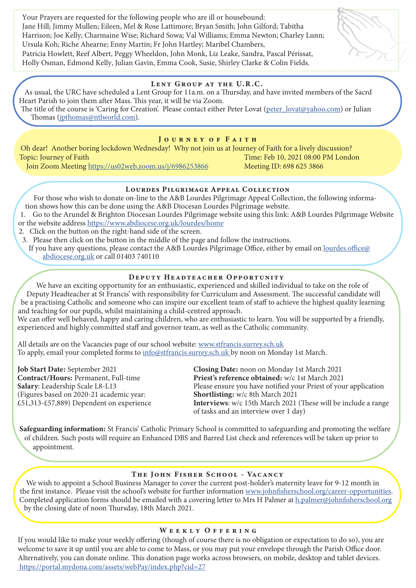Your Prayers are requested for the following people who are ill or housebound: Jane Hill; Jimmy Mullen; Eileen, Mel & Rose Lattimore; Bryan Smith; John Gilford; Tabitha Harrison; Joe Kelly; Charmaine Wise; Richard Sowa; Val Williams; Emma Newton; Charley Lunn; Ursula Koh; Riche Ahearne; Enny Martin; Fr John Hartley; Maribel Chambers, Patricia Howlett, Reef Albert, Peggy Wheeldon, John Monk, Liz Leake, Sandra, Pascal Périssat, Holly Osman, Edmond Kelly, Julian Gavin, Emma Cook, Susie, Shirley Clarke & Colin Fields.

#### LENT GROUP AT THE U.R.C.

As usual, the URC have scheduled a Lent Group for 11a.m. on a Thursday, and have invited members of the Sacrd Heart Parish to join them after Mass. This year, it will be via Zoom. The title of the course is 'Caring for Creation'. Please contact either Peter Lovat (peter\_lovat@yahoo.com) or Julian

Thomas (jpthomas@ntlworld.com).

#### JOURNEY OF FAITH

Oh dear! Another boring lockdown Wednesday! Why not join us at Journey of Faith for a lively discussion? Topic: Journey of Faith Time: Feb 10, 2021 08:00 PM London

Join Zoom Meeting https://us02web.zoom.us/j/6986253866 Meeting ID: 698 625 3866

## Lourdes Pilgrimage Appeal Collection

For those who wish to donate on-line to the A&B Lourdes Pilgrimage Appeal Collection, the following information shows how this can be done using the A&B Diocesan Lourdes Pilgrimage website.

1. Go to the Arundel & Brighton Diocesan Lourdes Pilgrimage website using this link: A&B Lourdes Pilgrimage Website or the website address https://www.abdiocese.org.uk/lourdes/home

2. Click on the button on the right-hand side of the screen.

3. Please then click on the button in the middle of the page and follow the instructions.

If you have any questions, please contact the A&B Lourdes Pilgrimage Office, either by email on lourdes.office@ abdiocese.org.uk or call 01403 740110

## DEPUTY HEADTEACHER OPPORTUNITY

We have an exciting opportunity for an enthusiastic, experienced and skilled individual to take on the role of Deputy Headteacher at St Francis' with responsibility for Curriculum and Assessment. The successful candidate will be a practising Catholic and someone who can inspire our excellent team of staff to achieve the highest quality learning and teaching for our pupils, whilst maintaining a child-centred approach.

We can offer well behaved, happy and caring children, who are enthusiastic to learn. You will be supported by a friendly, experienced and highly committed staff and governor team, as well as the Catholic community.

All details are on the Vacancies page of our school website: www.stfrancis.surrey.sch.uk To apply, email your completed forms to info@stfrancis.surrey.sch.uk by noon on Monday 1st March.

(Figures based on 2020-21 academic year:<br>£51,313-£57,889) Dependent on experience

Job Start Date: September 2021 Closing Date: noon on Monday 1st March 2021 Contract/Hours: Permanent, Full-time Priest's reference obtained: w/c 1st March 2021<br>
Salary: Leadership Scale L8-L13 Please ensure you have notified your Priest of you Please ensure you have notified your Priest of your application<br>Shortlisting:  $w/c$  8th March 2021 Interviews: w/c 15th March 2021 (These will be include a range of tasks and an interview over 1 day)

Safeguarding information: St Francis' Catholic Primary School is committed to safeguarding and promoting the welfare of children. Such posts will require an Enhanced DBS and Barred List check and references will be taken up prior to appointment.

## THE JOHN FISHER SCHOOL - VACANCY

We wish to appoint a School Business Manager to cover the current post-holder's maternity leave for 9-12 month in the first instance. Please visit the school's website for further information www.johnfisherschool.org/career-opportunities. Completed application forms should be emailed with a covering letter to Mrs H Palmer at h.palmer@johnfisherschool.org by the closing date of noon Thursday, 18th March 2021.

#### WEEKLY OFFERING

If you would like to make your weekly offering (though of course there is no obligation or expectation to do so), you are welcome to save it up until you are able to come to Mass, or you may put your envelope through the Parish Office door. Alternatively, you can donate online. This donation page works across browsers, on mobile, desktop and tablet devices. https://portal.mydona.com/assets/webPay/index.php?cid=27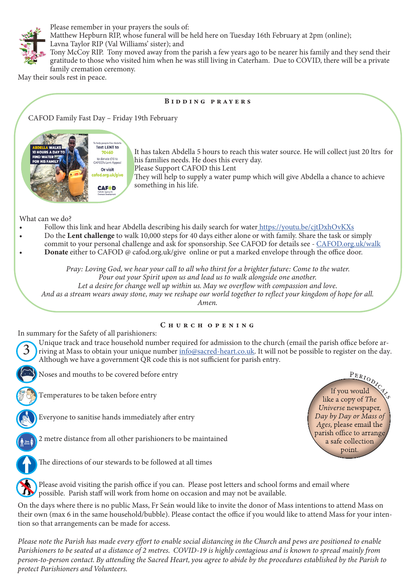

Please remember in your prayers the souls of: Matthew Hepburn RIP, whose funeral will be held here on Tuesday 16th February at 2pm (online); Lavna Taylor RIP (Val Williams' sister); and

Tony McCoy RIP. Tony moved away from the parish a few years ago to be nearer his family and they send their gratitude to those who visited him when he was still living in Caterham. Due to COVID, there will be a private family cremation ceremony.

May their souls rest in peace.

#### Bidding prayers

CAFOD Family Fast Day – Friday 19th February



It has taken Abdella 5 hours to reach this water source. He will collect just 20 ltrs for his families needs. He does this every day. Please Support CAFOD this Lent

They will help to supply a water pump which will give Abdella a chance to achieve something in his life.

What can we do?

- Follow this link and hear Abdella describing his daily search for water https://youtu.be/citDxhOvKXs
- Do the Lent challenge to walk 10,000 steps for 40 days either alone or with family. Share the task or simply
- commit to your personal challenge and ask for sponsorship. See CAFOD for details see CAFOD.org.uk/walk
- Donate either to CAFOD @ cafod.org.uk/give online or put a marked envelope through the office door.

*Pray: Loving God, we hear your call to all who thirst for a brighter future: Come to the water.*

*Pour out your Spirit upon us and lead us to walk alongside one another.*

*Let a desire for change well up within us. May we overflow with compassion and love. And as a stream wears away stone, may we reshape our world together to reflect your kingdom of hope for all. Amen.* 

## CHURCH OPENING

In summary for the Safety of all parishioners:

Unique track and trace household number required for admission to the church (email the parish office before arriving at Mass to obtain your unique number info@sacred-heart.co.uk. It will not be possible to register on the day. Although we have a government QR code this is not sufficient for parish entry.

Noses and mouths to be covered before entry

Temperatures to be taken before entry



3

Everyone to sanitise hands immediately after entry

2 metre distance from all other parishioners to be maintained



The directions of our stewards to be followed at all times



Please avoid visiting the parish office if you can. Please post letters and school forms and email where possible. Parish staff will work from home on occasion and may not be available.

On the days where there is no public Mass, Fr Seán would like to invite the donor of Mass intentions to attend Mass on their own (max 6 in the same household/bubble). Please contact the office if you would like to attend Mass for your intention so that arrangements can be made for access.

*Please note the Parish has made every effort to enable social distancing in the Church and pews are positioned to enable Parishioners to be seated at a distance of 2 metres. COVID-19 is highly contagious and is known to spread mainly from person-to-person contact. By attending the Sacred Heart, you agree to abide by the procedures established by the Parish to protect Parishioners and Volunteers.*